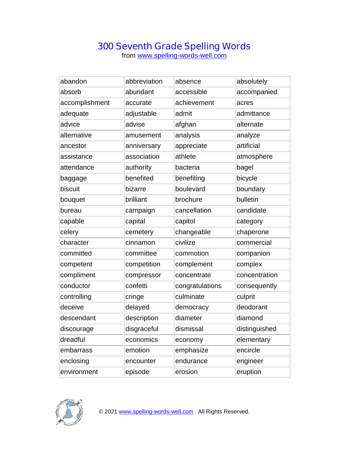## **300 Seventh Grade Spelling Words**

from www.spelling-words-well.com

| abandon        | abbreviation | absence         | absolutely    |
|----------------|--------------|-----------------|---------------|
| absorb         | abundant     | accessible      | accompanied   |
| accomplishment | accurate     | achievement     | acres         |
| adequate       | adjustable   | admit           | admittance    |
| advice         | advise       | afghan          | alternate     |
| alternative    | amusement    | analysis        | analyze       |
| ancestor       | anniversary  | appreciate      | artificial    |
| assistance     | association  | athlete         | atmosphere    |
| attendance     | authority    | bacteria        | bagel         |
| baggage        | benefited    | benefiting      | bicycle       |
| biscuit        | bizarre      | boulevard       | boundary      |
| bouquet        | brilliant    | brochure        | bulletin      |
| bureau         | campaign     | cancellation    | candidate     |
| capable        | capital      | capitol         | category      |
| celery         | cemetery     | changeable      | chaperone     |
| character      | cinnamon     | civilize        | commercial    |
| committed      | committee    | commotion       | companion     |
| competent      | competition  | complement      | complex       |
| compliment     | compressor   | concentrate     | concentration |
| conductor      | confetti     | congratulations | consequently  |
| controlling    | cringe       | culminate       | culprit       |
| deceive        | delayed      | democracy       | deodorant     |
| descendant     | description  | diameter        | diamond       |
| discourage     | disgraceful  | dismissal       | distinguished |
| dreadful       | economics    | economy         | elementary    |
| embarrass      | emotion      | emphasize       | encircle      |
| enclosing      | encounter    | endurance       | engineer      |
| environment    | episode      | erosion         | eruption      |
|                |              |                 |               |

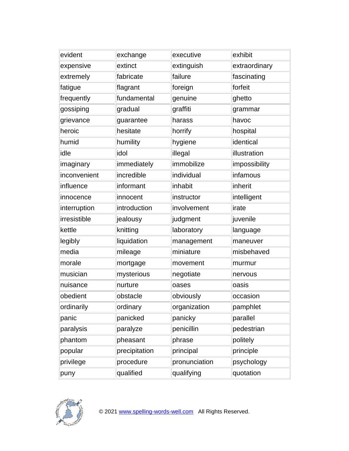| evident      | exchange      | executive     | exhibit       |
|--------------|---------------|---------------|---------------|
| expensive    | extinct       | extinguish    | extraordinary |
| extremely    | fabricate     | failure       | fascinating   |
| fatigue      | flagrant      | foreign       | forfeit       |
| frequently   | fundamental   | genuine       | ghetto        |
| gossiping    | gradual       | graffiti      | grammar       |
| grievance    | guarantee     | harass        | havoc         |
| heroic       | hesitate      | horrify       | hospital      |
| humid        | humility      | hygiene       | identical     |
| idle         | idol          | illegal       | illustration  |
| imaginary    | immediately   | immobilize    | impossibility |
| inconvenient | incredible    | individual    | infamous      |
| influence    | informant     | inhabit       | inherit       |
| innocence    | innocent      | instructor    | intelligent   |
| interruption | introduction  | involvement   | irate         |
| irresistible | jealousy      | judgment      | juvenile      |
| kettle       | knitting      | laboratory    | language      |
| legibly      | liquidation   | management    | maneuver      |
| media        | mileage       | miniature     | misbehaved    |
| morale       | mortgage      | movement      | murmur        |
| musician     | mysterious    | negotiate     | nervous       |
| nuisance     | nurture       | oases         | oasis         |
| obedient     | obstacle      | obviously     | occasion      |
| ordinarily   | ordinary      | organization  | pamphlet      |
| panic        | panicked      | panicky       | parallel      |
| paralysis    | paralyze      | penicillin    | pedestrian    |
| phantom      | pheasant      | phrase        | politely      |
| popular      | precipitation | principal     | principle     |
| privilege    | procedure     | pronunciation | psychology    |
| puny         | qualified     | qualifying    | quotation     |